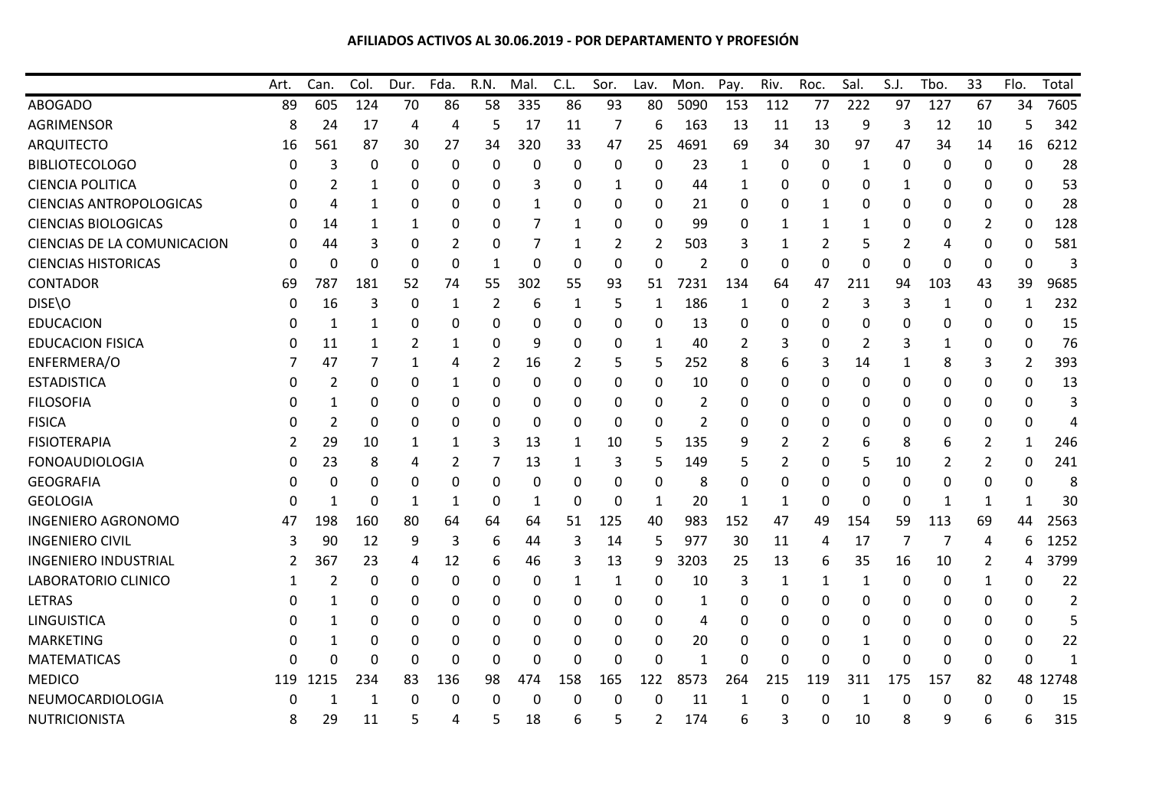## **AFILIADOS ACTIVOS AL 30.06.2019 ‐ POR DEPARTAMENTO Y PROFESIÓN**

|                                | Art. | Can. | Col. | Dur.         | Fda. | R.N.        | Mal. | C.L.     | Sor.        | Lav.         | Mon.           | Pay. | Riv.         | Roc. | Sal.           | S.J.        | Tbo. | 33 | Flo.         | Total          |
|--------------------------------|------|------|------|--------------|------|-------------|------|----------|-------------|--------------|----------------|------|--------------|------|----------------|-------------|------|----|--------------|----------------|
| <b>ABOGADO</b>                 | 89   | 605  | 124  | 70           | 86   | 58          | 335  | 86       | 93          | 80           | 5090           | 153  | 112          | 77   | 222            | 97          | 127  | 67 | 34           | 7605           |
| <b>AGRIMENSOR</b>              | 8    | 24   | 17   | 4            | 4    | 5           | 17   | 11       | 7           | 6            | 163            | 13   | 11           | 13   | 9              | 3           | 12   | 10 | 5            | 342            |
| <b>ARQUITECTO</b>              | 16   | 561  | 87   | 30           | 27   | 34          | 320  | 33       | 47          | 25           | 4691           | 69   | 34           | 30   | 97             | 47          | 34   | 14 | 16           | 6212           |
| <b>BIBLIOTECOLOGO</b>          | 0    | 3    | 0    | 0            | 0    | $\mathbf 0$ | 0    | 0        | 0           | 0            | 23             | 1    | 0            | 0    | 1              | 0           | 0    | 0  | 0            | 28             |
| <b>CIENCIA POLITICA</b>        | O    | 2    | 1    | 0            | 0    | 0           | 3    | 0        | 1           | 0            | 44             | 1    | 0            | 0    | 0              | 1           | 0    | 0  | $\mathbf 0$  | 53             |
| <b>CIENCIAS ANTROPOLOGICAS</b> | 0    | 4    |      | 0            | 0    | 0           |      | 0        | 0           | 0            | 21             | 0    | 0            | 1    | 0              | 0           | 0    | 0  | 0            | 28             |
| <b>CIENCIAS BIOLOGICAS</b>     | 0    | 14   | 1    | 1            | 0    | 0           |      | 1        | 0           | $\Omega$     | 99             | 0    | 1            | 1    | 1              | 0           | 0    | 2  | 0            | 128            |
| CIENCIAS DE LA COMUNICACION    | ŋ    | 44   | 3    | $\Omega$     | 2    | $\Omega$    | 7    | 1        | 2           | 2            | 503            | 3    | 1            | 2    | 5              | 2           | Δ    | 0  | 0            | 581            |
| <b>CIENCIAS HISTORICAS</b>     | 0    | 0    | 0    | 0            | 0    | 1           | 0    | 0        | 0           | $\mathbf{0}$ | 2              | 0    | 0            | 0    | 0              | 0           | 0    | 0  | 0            |                |
| CONTADOR                       | 69   | 787  | 181  | 52           | 74   | 55          | 302  | 55       | 93          | 51           | 7231           | 134  | 64           | 47   | 211            | 94          | 103  | 43 | 39           | 9685           |
| DISE\O                         | 0    | 16   | 3    | $\mathbf 0$  | 1    | 2           | 6    | 1        | 5           | 1            | 186            | 1    | 0            | 2    | 3              | 3           | 1    | 0  | 1            | 232            |
| <b>EDUCACION</b>               | ŋ    | 1    | 1    | 0            | 0    | 0           | 0    | 0        | 0           | 0            | 13             | 0    | 0            | 0    | 0              | 0           | 0    | 0  | 0            | 15             |
| <b>EDUCACION FISICA</b>        | ŋ    | 11   | 1    | 2            | 1    | $\Omega$    | 9    | $\Omega$ | 0           | 1            | 40             | 2    | 3            | 0    | $\overline{2}$ | 3           | 1    | 0  | 0            | 76             |
| ENFERMERA/O                    |      | 47   |      | 1            | 4    | 2           | 16   | 2        | 5           | 5            | 252            | 8    | 6            | 3    | 14             | 1           | 8    | 3  | 2            | 393            |
| <b>ESTADISTICA</b>             | ŋ    | 2    | 0    | $\mathbf{0}$ | 1    | $\Omega$    | 0    | $\Omega$ | 0           | 0            | 10             | 0    | 0            | 0    | 0              | 0           | 0    | 0  | 0            | 13             |
| <b>FILOSOFIA</b>               | 0    | 1    | 0    | 0            | 0    | 0           | 0    | 0        | 0           | 0            | 2              | 0    | 0            | 0    | 0              | 0           | 0    | 0  | 0            |                |
| <b>FISICA</b>                  | O    | 2    | 0    | 0            | 0    | $\Omega$    | 0    | $\Omega$ | 0           | 0            | $\overline{2}$ | 0    | 0            | 0    | 0              | 0           | 0    | 0  | 0            | Λ              |
| <b>FISIOTERAPIA</b>            | 2    | 29   | 10   | 1            | 1    | 3           | 13   | 1        | 10          | 5            | 135            | 9    | 2            | 2    | 6              | 8           | 6    | 2  | 1            | 246            |
| <b>FONOAUDIOLOGIA</b>          | O    | 23   | 8    | 4            | 2    | 7           | 13   | 1        | 3           | 5            | 149            | 5    | 2            | 0    | 5              | 10          | 2    | 2  | 0            | 241            |
| <b>GEOGRAFIA</b>               | ŋ    | 0    | 0    | 0            | 0    | $\Omega$    | 0    | 0        | 0           | 0            | 8              | 0    | 0            | 0    | 0              | 0           | 0    | 0  | 0            | 8              |
| <b>GEOLOGIA</b>                | O    | 1    | 0    | $\mathbf 1$  | 1    | 0           | 1    | 0        | $\mathbf 0$ | $\mathbf 1$  | 20             | 1    | $\mathbf{1}$ | 0    | 0              | $\mathbf 0$ | 1    | 1  | $\mathbf{1}$ | 30             |
| <b>INGENIERO AGRONOMO</b>      | 47   | 198  | 160  | 80           | 64   | 64          | 64   | 51       | 125         | 40           | 983            | 152  | 47           | 49   | 154            | 59          | 113  | 69 | 44           | 2563           |
| <b>INGENIERO CIVIL</b>         | 3    | 90   | 12   | 9            | 3    | 6           | 44   | 3        | 14          | 5            | 977            | 30   | 11           | 4    | 17             | 7           | 7    | 4  | 6            | 1252           |
| <b>INGENIERO INDUSTRIAL</b>    | 2    | 367  | 23   | 4            | 12   | 6           | 46   | 3        | 13          | 9            | 3203           | 25   | 13           | 6    | 35             | 16          | 10   | 2  | 4            | 3799           |
| LABORATORIO CLINICO            |      | 2    | 0    | 0            | 0    | 0           | 0    | 1        | 1           | 0            | 10             | 3    | 1            | 1    | 1              | 0           | 0    | 1  | 0            | 22             |
| <b>LETRAS</b>                  | 0    | 1    | 0    | $\Omega$     | 0    | $\Omega$    | 0    | 0        | 0           | 0            | 1              | 0    | 0            | 0    | 0              | 0           | 0    | 0  | 0            | $\overline{2}$ |
| <b>LINGUISTICA</b>             |      |      | 0    | 0            | 0    | 0           | 0    | 0        | 0           | 0            | 4              | 0    | 0            | 0    | 0              | 0           | 0    | 0  | 0            | 5              |
| <b>MARKETING</b>               | ŋ    | 1    | 0    | 0            | 0    | 0           | 0    | 0        | 0           | 0            | 20             | 0    | 0            | 0    | 1              | 0           | 0    | 0  | $\Omega$     | 22             |
| <b>MATEMATICAS</b>             | ŋ    | 0    | 0    | $\mathbf 0$  | 0    | 0           | 0    | $\Omega$ | 0           | $\Omega$     | 1              | 0    | 0            | 0    | $\mathbf{0}$   | 0           | 0    | 0  | $\mathbf 0$  | 1              |
| <b>MEDICO</b>                  | 119  | 1215 | 234  | 83           | 136  | 98          | 474  | 158      | 165         | 122          | 8573           | 264  | 215          | 119  | 311            | 175         | 157  | 82 |              | 48 12748       |
| NEUMOCARDIOLOGIA               | 0    |      | 1    | 0            | 0    | $\mathbf 0$ | 0    | 0        | 0           | 0            | 11             | 1    | 0            | 0    | 1              | 0           | 0    | 0  | 0            | 15             |
| <b>NUTRICIONISTA</b>           | 8    | 29   | 11   | 5            | 4    | 5           | 18   | 6        | 5           | 2            | 174            | 6    | 3            | 0    | 10             | 8           | 9    | 6  | 6            | 315            |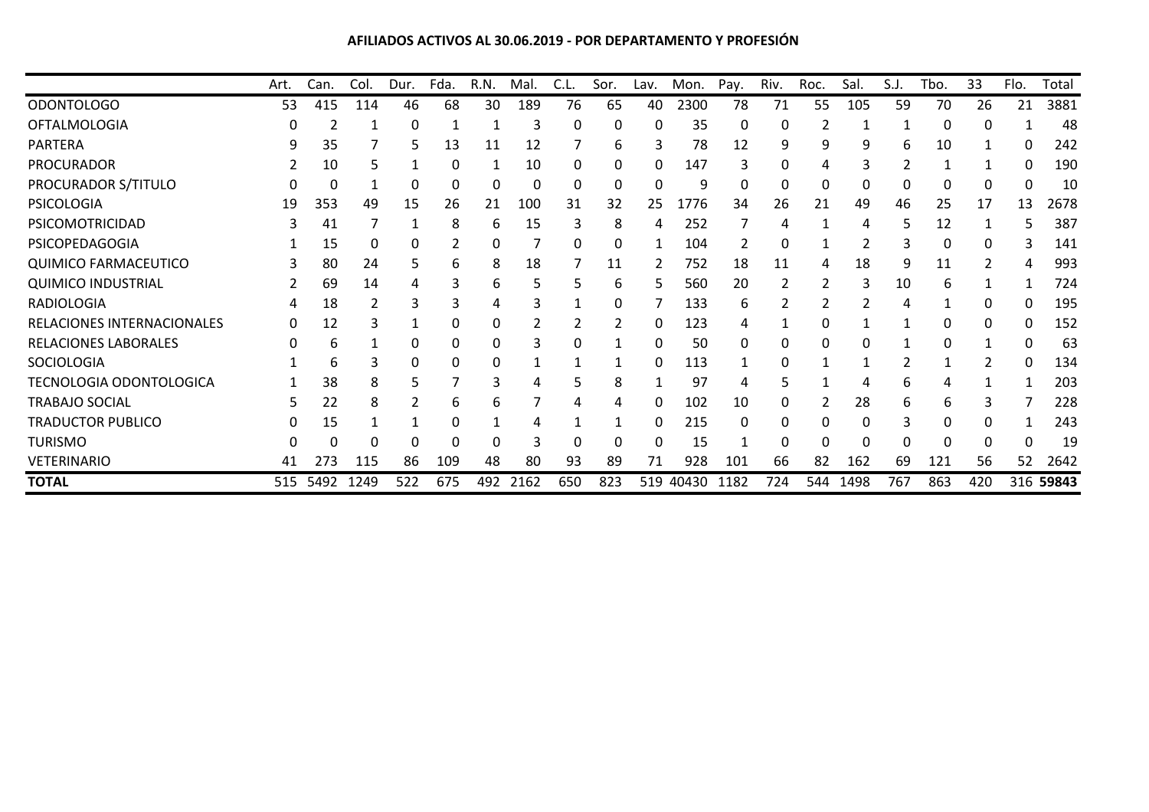## **AFILIADOS ACTIVOS AL 30.06.2019 ‐ POR DEPARTAMENTO Y PROFESIÓN**

|                             | Art. | Can.     | Col. | Dur. | Fda. | R.N.         | Mal. | C.L. | Sor. | Lav. | Mon.  | Pay. | Riv. | Roc. | Sal. | S.J. | Tbo. | 33  | Flo. | Total |
|-----------------------------|------|----------|------|------|------|--------------|------|------|------|------|-------|------|------|------|------|------|------|-----|------|-------|
| <b>ODONTOLOGO</b>           | 53   | 415      | 114  | 46   | 68   | 30           | 189  | 76   | 65   | 40   | 2300  | 78   | 71   | 55   | 105  | 59   | 70   | 26  | 21   | 3881  |
| <b>OFTALMOLOGIA</b>         |      |          |      | 0    |      |              | 3    | 0    | 0    |      | 35    | 0    | 0    |      |      |      | 0    | 0   |      | 48    |
| <b>PARTERA</b>              | 9    | 35       |      | 5    | 13   | 11           | 12   |      | 6    | 3    | 78    | 12   | 9    | 9    | 9    | 6    | 10   |     | 0    | 242   |
| <b>PROCURADOR</b>           |      | 10       |      |      | 0    |              | 10   | 0    | 0    | 0    | 147   | 3    | 0    | 4    | 3    |      |      |     | 0    | 190   |
| PROCURADOR S/TITULO         |      | 0        |      | 0    | 0    | 0            | 0    | 0    | 0    |      | 9     | 0    | 0    | 0    | 0    | 0    |      | 0   | O    | 10    |
| PSICOLOGIA                  | 19   | 353      | 49   | 15   | 26   | 21           | 100  | 31   | 32   | 25   | 1776  | 34   | 26   | 21   | 49   | 46   | 25   | 17  | 13   | 2678  |
| PSICOMOTRICIDAD             |      | 41       |      |      | 8    | 6            | 15   | 3    | 8    | 4    | 252   |      | 4    |      | 4    | 5    | 12   | 1   |      | 387   |
| PSICOPEDAGOGIA              |      | 15       | 0    | 0    |      | 0            |      | O    | 0    |      | 104   |      | 0    |      |      | 3    | 0    | 0   |      | 141   |
| <b>QUIMICO FARMACEUTICO</b> |      | 80       | 24   | 5    | 6    | 8            | 18   |      | 11   |      | 752   | 18   | 11   | 4    | 18   | 9    | 11   |     |      | 993   |
| <b>QUIMICO INDUSTRIAL</b>   |      | 69       | 14   |      | 3    | 6            |      |      | 6    |      | 560   | 20   |      |      | 3    | 10   | 6    |     |      | 724   |
| <b>RADIOLOGIA</b>           | 4    | 18       |      | 3    | 3    |              |      |      | 0    |      | 133   | 6    |      |      |      | 4    |      | 0   | 0    | 195   |
| RELACIONES INTERNACIONALES  | 0    | 12       |      |      | 0    | $\mathbf{0}$ |      |      |      | O    | 123   | 4    |      |      |      |      | O    | 0   | 0    | 152   |
| <b>RELACIONES LABORALES</b> | O    | 6        |      | 0    | 0    | 0            | 3    | 0    |      | 0    | 50    | 0    | 0    |      | 0    |      |      |     | 0    | 63    |
| <b>SOCIOLOGIA</b>           |      | b        |      | 0    | 0    |              |      |      |      |      | 113   |      | 0    |      |      |      |      |     | N    | 134   |
| TECNOLOGIA ODONTOLOGICA     |      | 38       | 8    |      |      | 3            |      |      | 8    |      | 97    | 4    |      |      | 4    | 6    |      |     |      | 203   |
| TRABAJO SOCIAL              |      | 22       | 8    |      | 6    | 6            |      |      | 4    | 0    | 102   | 10   | 0    |      | 28   | 6    | 6    |     |      | 228   |
| TRADUCTOR PUBLICO           | O    | 15       |      |      | 0    |              | 4    |      |      | 0    | 215   | 0    | 0    | 0    | 0    | 3    | 0    | 0   |      | 243   |
| <b>TURISMO</b>              |      |          |      | 0    | 0    | 0            |      |      | 0    | 0    | 15    |      | 0    |      | 0    | 0    |      | 0   |      | 19    |
| <b>VETERINARIO</b>          | 41   | 273      | 115  | 86   | 109  | 48           | 80   | 93   | 89   | 71   | 928   | 101  | 66   | 82   | 162  | 69   | 121  | 56  | 52   | 2642  |
| <b>TOTAL</b>                |      | 515 5492 | 1249 | 522  | 675  | 492          | 2162 | 650  | 823  | 519  | 40430 | 1182 | 724  | 544  | 1498 | 767  | 863  | 420 | 316  | 59843 |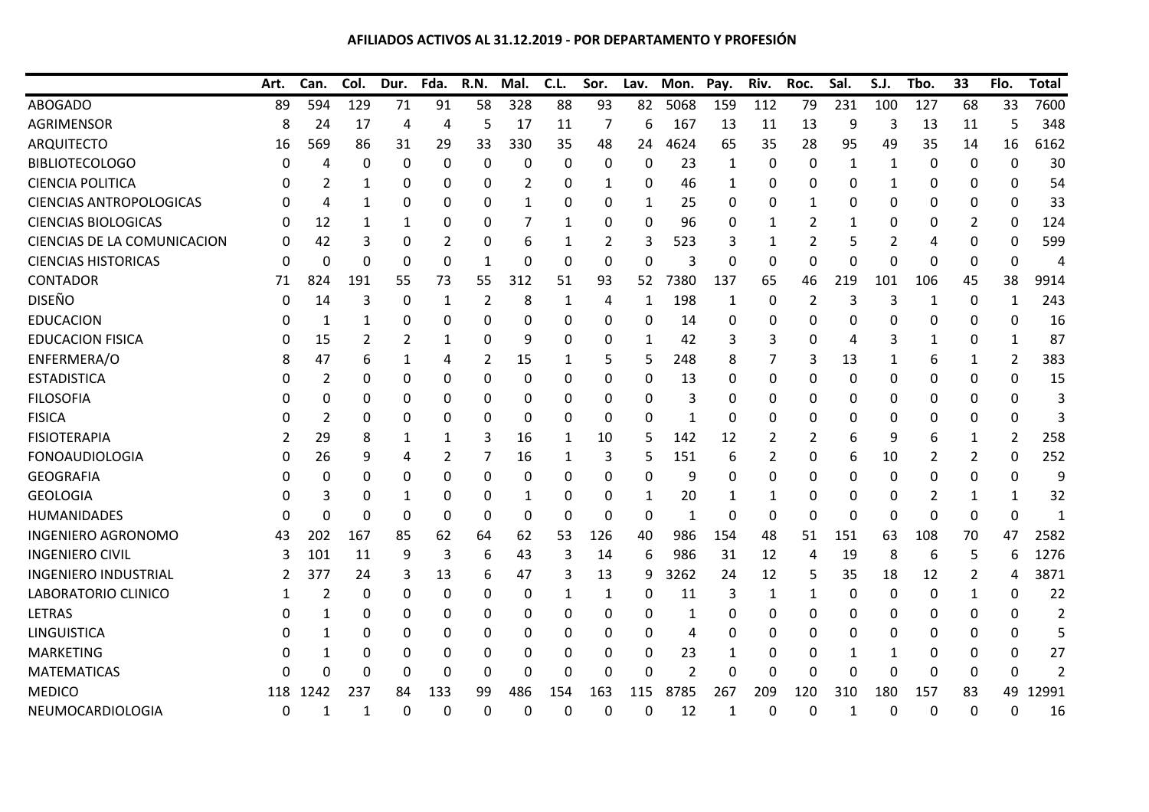## **AFILIADOS ACTIVOS AL 31.12.2019 ‐ POR DEPARTAMENTO Y PROFESIÓN**

|                                | Art.     | Can.     | Col. | Dur. | Fda.     | R.N.         | Mal.           | C.L.         | Sor. | Lav.         | Mon.         | Pay.         | Riv. | Roc. | Sal.         | S.J. | Tbo.           | 33             | Flo.         | <b>Total</b>   |
|--------------------------------|----------|----------|------|------|----------|--------------|----------------|--------------|------|--------------|--------------|--------------|------|------|--------------|------|----------------|----------------|--------------|----------------|
| <b>ABOGADO</b>                 | 89       | 594      | 129  | 71   | 91       | 58           | 328            | 88           | 93   | 82           | 5068         | 159          | 112  | 79   | 231          | 100  | 127            | 68             | 33           | 7600           |
| <b>AGRIMENSOR</b>              | 8        | 24       | 17   | 4    | 4        | 5            | 17             | 11           | 7    | 6            | 167          | 13           | 11   | 13   | 9            | 3    | 13             | 11             | 5            | 348            |
| <b>ARQUITECTO</b>              | 16       | 569      | 86   | 31   | 29       | 33           | 330            | 35           | 48   | 24           | 4624         | 65           | 35   | 28   | 95           | 49   | 35             | 14             | 16           | 6162           |
| <b>BIBLIOTECOLOGO</b>          | 0        | 4        | 0    | 0    | 0        | $\Omega$     | 0              | 0            | 0    | 0            | 23           | 1            | 0    | 0    | 1            | 1    | 0              | 0              | 0            | 30             |
| <b>CIENCIA POLITICA</b>        |          | 2        | 1    | 0    | 0        | $\Omega$     | $\overline{2}$ | 0            | 1    | 0            | 46           | 1            | 0    | 0    | 0            | 1    | 0              | 0              | 0            | 54             |
| <b>CIENCIAS ANTROPOLOGICAS</b> | 0        | 4        | 1    | 0    | 0        | $\Omega$     | 1              | 0            | 0    | 1            | 25           | 0            | 0    | 1    | 0            | 0    | 0              | 0              | 0            | 33             |
| <b>CIENCIAS BIOLOGICAS</b>     | 0        | 12       | 1    | 1    | 0        | 0            | 7              | 1            | 0    | $\Omega$     | 96           | 0            | 1    | 2    | 1            | 0    | 0              | $\overline{2}$ | 0            | 124            |
| CIENCIAS DE LA COMUNICACION    | 0        | 42       | 3    | 0    | 2        | 0            | 6              | 1            | 2    | 3            | 523          | 3            | 1    | 2    | 5            | 2    | 4              | 0              | 0            | 599            |
| <b>CIENCIAS HISTORICAS</b>     | 0        | 0        | 0    | 0    | 0        | $\mathbf 1$  | 0              | 0            | 0    | 0            | 3            | 0            | 0    | 0    | 0            | 0    | 0              | 0              | 0            | 4              |
| <b>CONTADOR</b>                | 71       | 824      | 191  | 55   | 73       | 55           | 312            | 51           | 93   | 52           | 7380         | 137          | 65   | 46   | 219          | 101  | 106            | 45             | 38           | 9914           |
| <b>DISEÑO</b>                  | 0        | 14       | 3    | 0    | 1        | 2            | 8              | $\mathbf{1}$ | 4    | $\mathbf{1}$ | 198          | 1            | 0    | 2    | 3            | 3    | 1              | 0              | 1            | 243            |
| <b>EDUCACION</b>               | 0        | 1        | 1    | 0    | 0        | $\Omega$     | 0              | 0            | 0    | $\mathbf{0}$ | 14           | 0            | 0    | 0    | 0            | 0    | 0              | 0              | 0            | 16             |
| <b>EDUCACION FISICA</b>        | 0        | 15       | 2    | 2    | 1        | $\Omega$     | 9              | 0            | 0    | 1            | 42           | 3            | 3    | 0    | Δ            | 3    | 1              | 0              | $\mathbf{1}$ | 87             |
| ENFERMERA/O                    | 8        | 47       | 6    |      | 4        | 2            | 15             | 1            | 5    | 5            | 248          | 8            | 7    | 3    | 13           | 1    | 6              | 1              | 2            | 383            |
| <b>ESTADISTICA</b>             | 0        | 2        | 0    | 0    | 0        | 0            | 0              | 0            | 0    | 0            | 13           | 0            | 0    | 0    | 0            | 0    | 0              | 0              | 0            | 15             |
| <b>FILOSOFIA</b>               | 0        | 0        | 0    | 0    | 0        | $\Omega$     | 0              | 0            | 0    | 0            | 3            | 0            | 0    | 0    | 0            | 0    | 0              | 0              | 0            | 3              |
| <b>FISICA</b>                  |          | 2        | 0    | 0    | 0        | 0            | 0              | 0            | 0    | 0            | 1            | 0            | 0    | 0    | 0            | 0    | 0              | 0              | 0            | 3              |
| <b>FISIOTERAPIA</b>            |          | 29       | 8    | 1    | 1        | 3            | 16             | 1            | 10   | 5            | 142          | 12           | 2    | 2    | 6            | 9    | 6              | 1              | 2            | 258            |
| <b>FONOAUDIOLOGIA</b>          | 0        | 26       | 9    | 4    | 2        | 7            | 16             | 1            | 3    | 5            | 151          | 6            | 2    | 0    | 6            | 10   | 2              | 2              | O            | 252            |
| <b>GEOGRAFIA</b>               | 0        | 0        | 0    | 0    | 0        | $\Omega$     | 0              | 0            | 0    | 0            | 9            | 0            | 0    | 0    | 0            | 0    | $\Omega$       | 0              | 0            | 9              |
| <b>GEOLOGIA</b>                |          | 3        | 0    |      | 0        | 0            | 1              | 0            | 0    | 1            | 20           | 1            | 1    | 0    | 0            | 0    | $\overline{2}$ | 1              |              | 32             |
| HUMANIDADES                    |          | $\Omega$ | 0    | 0    | 0        | 0            | 0              | $\Omega$     | 0    | 0            | $\mathbf{1}$ | 0            | 0    | 0    | $\Omega$     | 0    | $\Omega$       | 0              | 0            | $\mathbf{1}$   |
| <b>INGENIERO AGRONOMO</b>      | 43       | 202      | 167  | 85   | 62       | 64           | 62             | 53           | 126  | 40           | 986          | 154          | 48   | 51   | 151          | 63   | 108            | 70             | 47           | 2582           |
| <b>INGENIERO CIVIL</b>         | 3        | 101      | 11   | 9    | 3        | 6            | 43             | 3            | 14   | 6            | 986          | 31           | 12   | 4    | 19           | 8    | 6              | 5              | 6            | 1276           |
| <b>INGENIERO INDUSTRIAL</b>    |          | 377      | 24   | 3    | 13       | 6            | 47             | 3            | 13   | 9            | 3262         | 24           | 12   | 5    | 35           | 18   | 12             | 2              | 4            | 3871           |
| LABORATORIO CLINICO            | 1        | 2        | 0    | 0    | 0        | 0            | 0              | 1            | 1    | 0            | 11           | 3            | 1    | 1    | 0            | 0    | 0              | 1              | 0            | 22             |
| <b>LETRAS</b>                  | 0        | 1        | 0    | 0    | 0        | 0            | 0              | 0            | 0    | 0            | 1            | 0            | 0    | 0    | 0            | 0    | 0              | 0              | 0            | $\overline{2}$ |
| <b>LINGUISTICA</b>             |          | 1        | 0    | 0    | 0        | $\Omega$     | $\Omega$       | $\Omega$     | 0    | 0            | 4            | $\mathbf{0}$ | 0    | 0    | 0            | 0    | $\Omega$       | 0              | 0            | 5              |
| <b>MARKETING</b>               |          | 1        | 0    | 0    | 0        | 0            | 0              | 0            | 0    | 0            | 23           | 1            | 0    | 0    | 1            | 1    | 0              | 0              | 0            | 27             |
| <b>MATEMATICAS</b>             |          | $\Omega$ | 0    | 0    | 0        | 0            | 0              | 0            | 0    | 0            | 2            | $\mathbf{0}$ | 0    | 0    | 0            | 0    | 0              | 0              | 0            | 2              |
| <b>MEDICO</b>                  |          | 118 1242 | 237  | 84   | 133      | 99           | 486            | 154          | 163  | 115          | 8785         | 267          | 209  | 120  | 310          | 180  | 157            | 83             | 49           | 12991          |
| NEUMOCARDIOLOGIA               | $\Omega$ | 1        | 1    | 0    | $\Omega$ | $\mathbf{0}$ | 0              | 0            | 0    | 0            | 12           | 1            | 0    | 0    | $\mathbf{1}$ | O    | $\Omega$       | 0              | 0            | 16             |